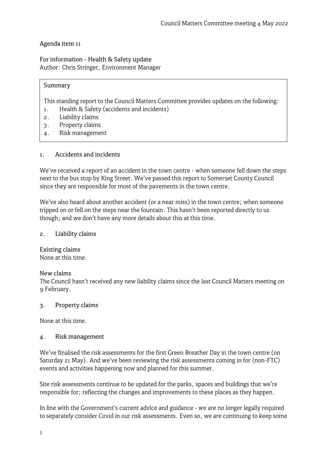# Agenda item 11

For information - Health & Safety update Author: Chris Stringer, Environment Manager

# Summary

This standing report to the Council Matters Committee provides updates on the following:

- 1. Health & Safety (accidents and incidents)
- 2. Liability claims
- 3. Property claims
- 4. Risk management

# 1. Accidents and incidents

We've received a report of an accident in the town centre - when someone fell down the steps next to the bus stop by King Street. We've passed this report to Somerset County Council since they are responsible for most of the pavements in the town centre.

We've also heard about another accident (or a near miss) in the town centre; when someone tripped on or fell on the steps near the fountain. This hasn't been reported directly to us though; and we don't have any more details about this at this time.

## 2. Liability claims

Existing claims None at this time.

### New claims

The Council hasn't received any new liability claims since the last Council Matters meeting on 9 February.

### 3. Property claims

None at this time.

### 4. Risk management

We've finalised the risk assessments for the first Green Breather Day in the town centre (on Saturday 21 May). And we've been reviewing the risk assessments coming in for (non-FTC) events and activities happening now and planned for this summer.

Site risk assessments continue to be updated for the parks, spaces and buildings that we're responsible for; reflecting the changes and improvements to these places as they happen.

In line with the Government's current advice and guidance - we are no longer legally required to separately consider Covid in our risk assessments. Even so, we are continuing to keep some